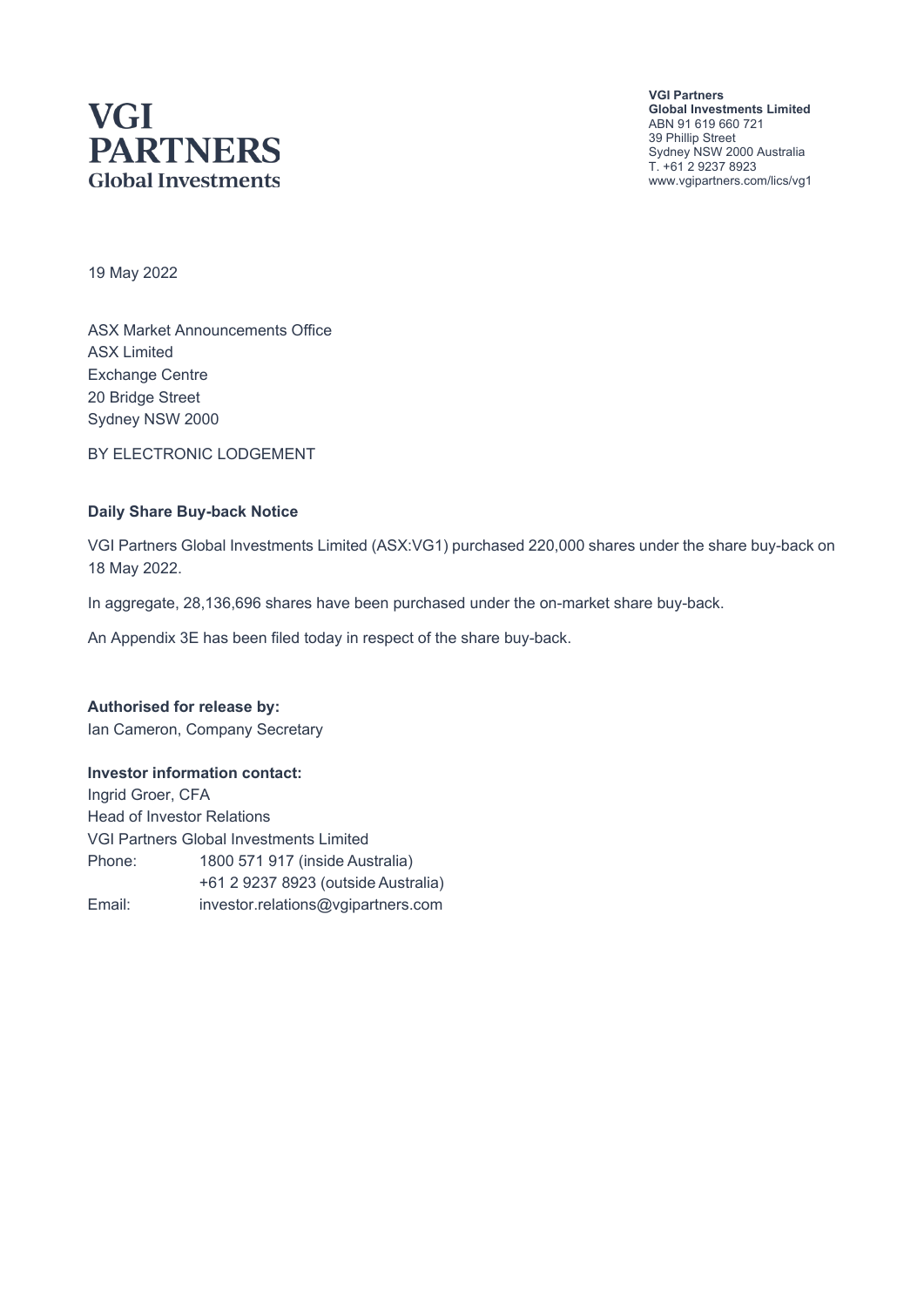# **VGI PARTNERS Global Investments**

**VGI Partners Global Investments Limited** ABN 91 619 660 721 39 Phillip Street Sydney NSW 2000 Australia T. +61 2 9237 8923 www.vgipartners.com/lics/vg1

19 May 2022

ASX Market Announcements Office ASX Limited Exchange Centre 20 Bridge Street Sydney NSW 2000

BY ELECTRONIC LODGEMENT

#### **Daily Share Buy-back Notice**

VGI Partners Global Investments Limited (ASX:VG1) purchased 220,000 shares under the share buy-back on 18 May 2022.

In aggregate, 28,136,696 shares have been purchased under the on-market share buy-back.

An Appendix 3E has been filed today in respect of the share buy-back.

**Authorised for release by:** Ian Cameron, Company Secretary

#### **Investor information contact:**

Ingrid Groer, CFA Head of Investor Relations VGI Partners Global Investments Limited Phone: 1800 571 917 (inside Australia) +61 2 9237 8923 (outside Australia) Email: investor.relations@vgipartners.com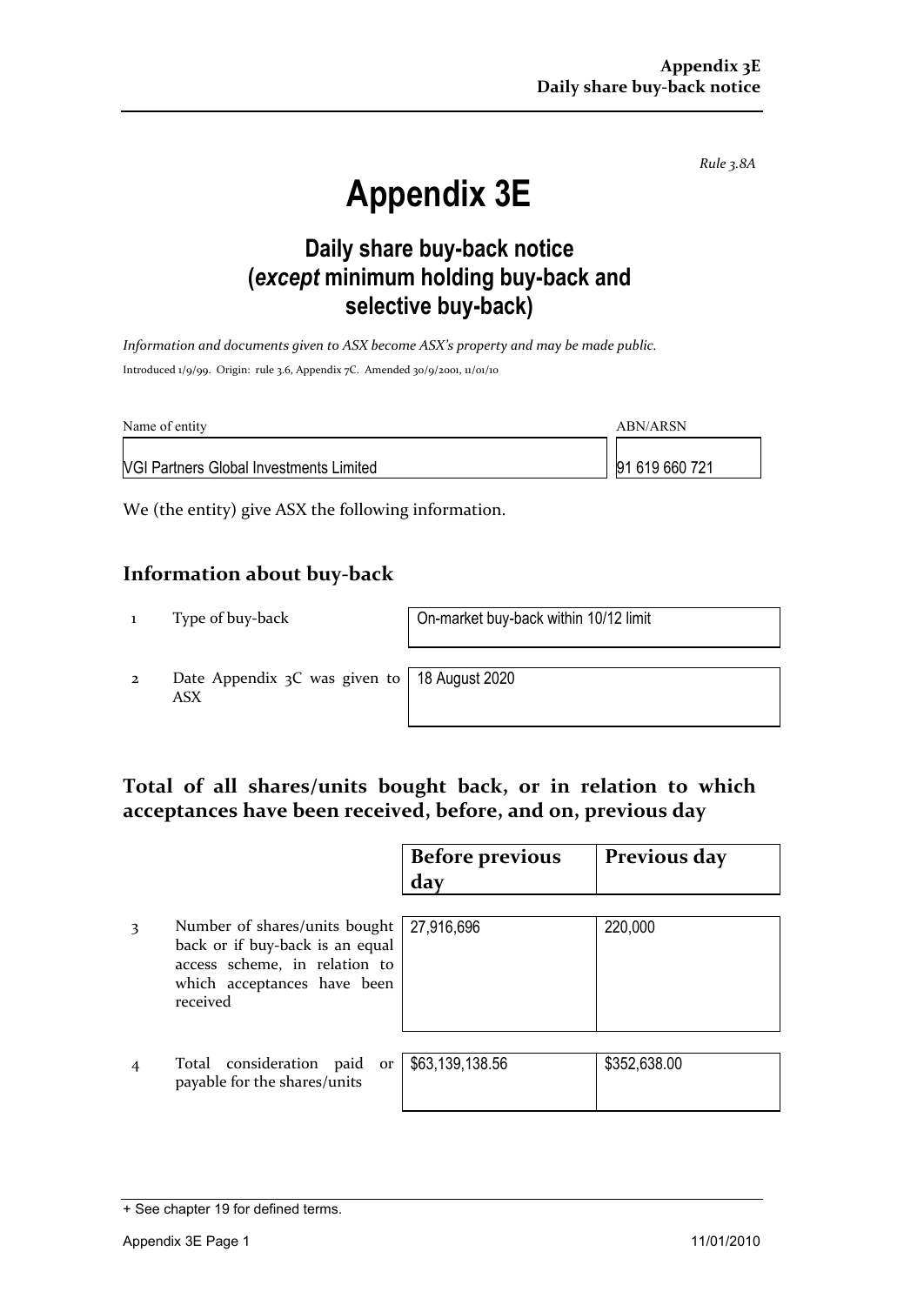*Rule 3.8A*

# **Appendix 3E**

## **Daily share buy-back notice (***except* **minimum holding buy-back and selective buy-back)**

*Information and documents given to ASX become ASX's property and may be made public.* Introduced 1/9/99. Origin: rule 3.6, Appendix 7C. Amended 30/9/2001, 11/01/10

| Name of entity                                 | ABN/ARSN       |
|------------------------------------------------|----------------|
| <b>VGI Partners Global Investments Limited</b> | 91 619 660 721 |

We (the entity) give ASX the following information.

#### **Information about buy-back**

1 Type of buy-back On-market buy-back within 10/12 limit

2 Date Appendix 3C was given to ASX

18 August 2020

### **Total of all shares/units bought back, or in relation to which acceptances have been received, before, and on, previous day**

|   |                                                                                                                                              | <b>Before previous</b><br>day | Previous day |
|---|----------------------------------------------------------------------------------------------------------------------------------------------|-------------------------------|--------------|
| 3 | Number of shares/units bought<br>back or if buy-back is an equal<br>access scheme, in relation to<br>which acceptances have been<br>received | 27,916,696                    | 220,000      |
|   | Total consideration paid<br>or<br>payable for the shares/units                                                                               | \$63,139,138.56               | \$352,638.00 |

<sup>+</sup> See chapter 19 for defined terms.